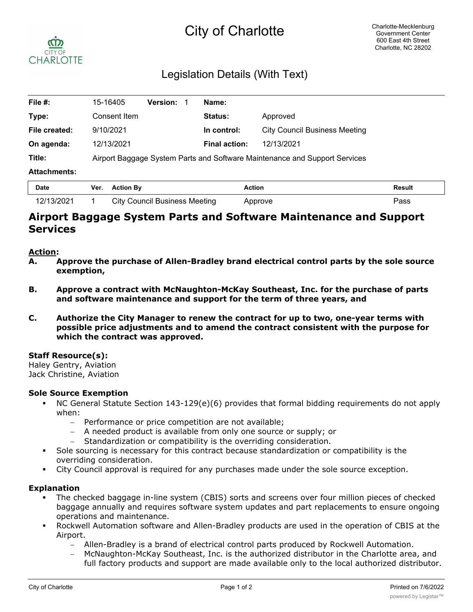# City of Charlotte



## Legislation Details (With Text)

| File #:             | 15-16405                                                                   | <b>Version:</b> | Name:                |                                      |  |  |
|---------------------|----------------------------------------------------------------------------|-----------------|----------------------|--------------------------------------|--|--|
| Type:               | Consent Item                                                               |                 | <b>Status:</b>       | Approved                             |  |  |
| File created:       | 9/10/2021                                                                  |                 | In control:          | <b>City Council Business Meeting</b> |  |  |
| On agenda:          | 12/13/2021                                                                 |                 | <b>Final action:</b> | 12/13/2021                           |  |  |
| Title:              | Airport Baggage System Parts and Software Maintenance and Support Services |                 |                      |                                      |  |  |
| <b>Attachments:</b> |                                                                            |                 |                      |                                      |  |  |
|                     |                                                                            |                 |                      |                                      |  |  |

| <b>Date</b> | Ver. Action By                       | <b>Action</b> | Result |
|-------------|--------------------------------------|---------------|--------|
| 12/13/2021  | <b>City Council Business Meeting</b> | Approve       | Pass   |

### **Airport Baggage System Parts and Software Maintenance and Support Services**

#### **Action:**

- **A. Approve the purchase of Allen-Bradley brand electrical control parts by the sole source exemption,**
- **B. Approve a contract with McNaughton-McKay Southeast, Inc. for the purchase of parts and software maintenance and support for the term of three years, and**
- **C. Authorize the City Manager to renew the contract for up to two, one-year terms with possible price adjustments and to amend the contract consistent with the purpose for which the contract was approved.**

#### **Staff Resource(s):**

Haley Gentry, Aviation Jack Christine, Aviation

#### **Sole Source Exemption**

- § NC General Statute Section 143-129(e)(6) provides that formal bidding requirements do not apply when:
	- Performance or price competition are not available;
	- A needed product is available from only one source or supply; or
	- Standardization or compatibility is the overriding consideration.
- § Sole sourcing is necessary for this contract because standardization or compatibility is the overriding consideration.
- § City Council approval is required for any purchases made under the sole source exception.

#### **Explanation**

- The checked baggage in-line system (CBIS) sorts and screens over four million pieces of checked baggage annually and requires software system updates and part replacements to ensure ongoing operations and maintenance.
- § Rockwell Automation software and Allen-Bradley products are used in the operation of CBIS at the Airport.
	- Allen-Bradley is a brand of electrical control parts produced by Rockwell Automation.
	- McNaughton-McKay Southeast, Inc. is the authorized distributor in the Charlotte area, and full factory products and support are made available only to the local authorized distributor.